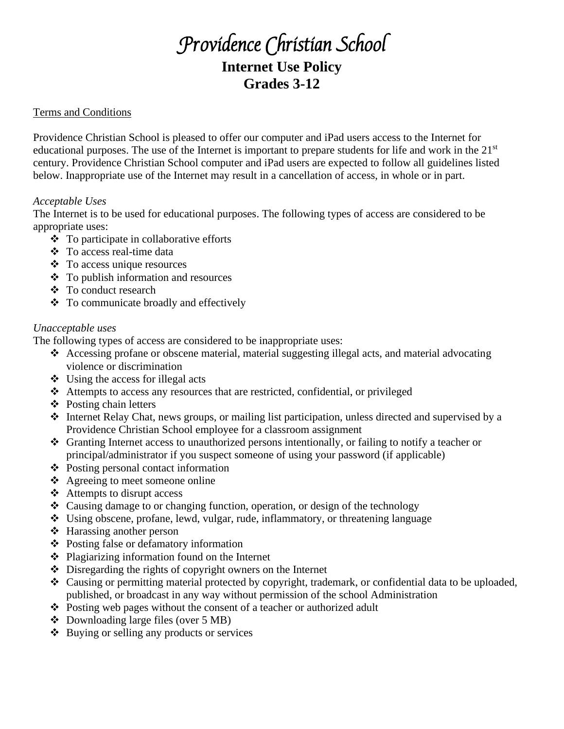# Providence Christian School **Internet Use Policy Grades 3-12**

## Terms and Conditions

Providence Christian School is pleased to offer our computer and iPad users access to the Internet for educational purposes. The use of the Internet is important to prepare students for life and work in the  $21<sup>st</sup>$ century. Providence Christian School computer and iPad users are expected to follow all guidelines listed below. Inappropriate use of the Internet may result in a cancellation of access, in whole or in part.

### *Acceptable Uses*

The Internet is to be used for educational purposes. The following types of access are considered to be appropriate uses:

- ❖ To participate in collaborative efforts
- ❖ To access real-time data
- ❖ To access unique resources
- ❖ To publish information and resources
- ❖ To conduct research
- ❖ To communicate broadly and effectively

## *Unacceptable uses*

The following types of access are considered to be inappropriate uses:

- ❖ Accessing profane or obscene material, material suggesting illegal acts, and material advocating violence or discrimination
- $\triangleleft$  Using the access for illegal acts
- ❖ Attempts to access any resources that are restricted, confidential, or privileged
- ❖ Posting chain letters
- ❖ Internet Relay Chat, news groups, or mailing list participation, unless directed and supervised by a Providence Christian School employee for a classroom assignment
- ❖ Granting Internet access to unauthorized persons intentionally, or failing to notify a teacher or principal/administrator if you suspect someone of using your password (if applicable)
- ❖ Posting personal contact information
- ❖ Agreeing to meet someone online
- ❖ Attempts to disrupt access
- ❖ Causing damage to or changing function, operation, or design of the technology
- ❖ Using obscene, profane, lewd, vulgar, rude, inflammatory, or threatening language
- ❖ Harassing another person
- ❖ Posting false or defamatory information
- ❖ Plagiarizing information found on the Internet
- ❖ Disregarding the rights of copyright owners on the Internet
- ❖ Causing or permitting material protected by copyright, trademark, or confidential data to be uploaded, published, or broadcast in any way without permission of the school Administration
- ❖ Posting web pages without the consent of a teacher or authorized adult
- ❖ Downloading large files (over 5 MB)
- ❖ Buying or selling any products or services